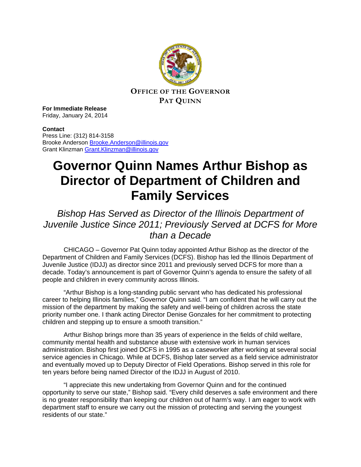

**For Immediate Release** Friday, January 24, 2014

## **Contact**

Press Line: (312) 814-3158 Brooke Anderson [Brooke.Anderson@illinois.gov](mailto:Brooke.Anderson@illinois.gov) Grant Klinzman [Grant.Klinzman@illinois.gov](mailto:Grant.Klinzman@illinois.gov)

## **Governor Quinn Names Arthur Bishop as Director of Department of Children and Family Services**

## *Bishop Has Served as Director of the Illinois Department of Juvenile Justice Since 2011; Previously Served at DCFS for More than a Decade*

CHICAGO – Governor Pat Quinn today appointed Arthur Bishop as the director of the Department of Children and Family Services (DCFS). Bishop has led the Illinois Department of Juvenile Justice (IDJJ) as director since 2011 and previously served DCFS for more than a decade. Today's announcement is part of Governor Quinn's agenda to ensure the safety of all people and children in every community across Illinois.

"Arthur Bishop is a long-standing public servant who has dedicated his professional career to helping Illinois families," Governor Quinn said. "I am confident that he will carry out the mission of the department by making the safety and well-being of children across the state priority number one. I thank acting Director Denise Gonzales for her commitment to protecting children and stepping up to ensure a smooth transition."

Arthur Bishop brings more than 35 years of experience in the fields of child welfare, community mental health and substance abuse with extensive work in human services administration. Bishop first joined DCFS in 1995 as a caseworker after working at several social service agencies in Chicago. While at DCFS, Bishop later served as a field service administrator and eventually moved up to Deputy Director of Field Operations. Bishop served in this role for ten years before being named Director of the IDJJ in August of 2010.

"I appreciate this new undertaking from Governor Quinn and for the continued opportunity to serve our state," Bishop said. "Every child deserves a safe environment and there is no greater responsibility than keeping our children out of harm's way. I am eager to work with department staff to ensure we carry out the mission of protecting and serving the youngest residents of our state."